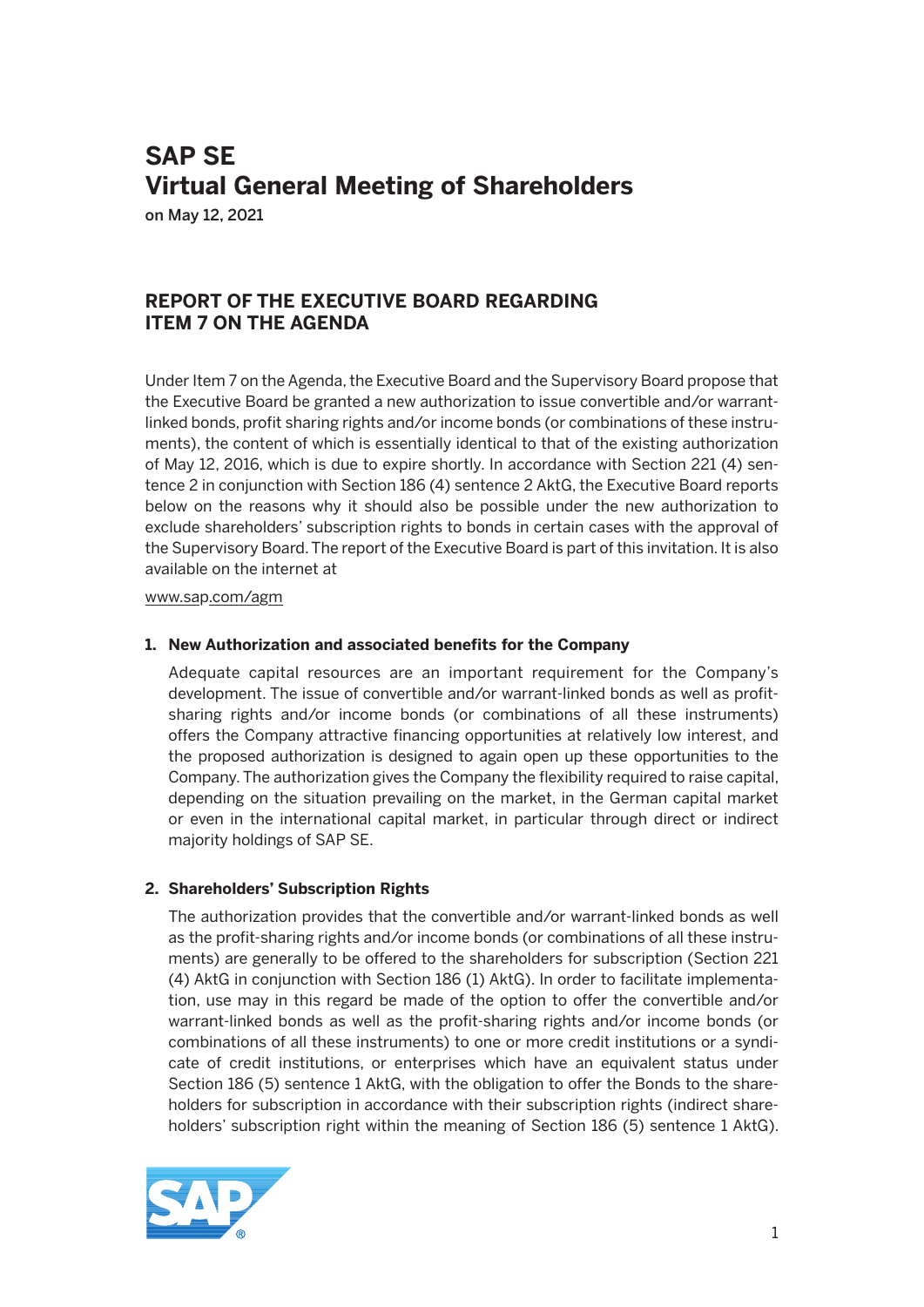# **SAP SE Virtual General Meeting of Shareholders**

on May 12, 2021

# **REPORT OF THE EXECUTIVE BOARD REGARDING ITEM 7 ON THE AGENDA**

Under Item 7 on the Agenda, the Executive Board and the Supervisory Board propose that the Executive Board be granted a new authorization to issue convertible and/or warrantlinked bonds, profit sharing rights and/or income bonds (or combinations of these instruments), the content of which is essentially identical to that of the existing authorization of May 12, 2016, which is due to expire shortly. In accordance with Section 221 (4) sentence 2 in conjunction with Section 186 (4) sentence 2 AktG, the Executive Board reports below on the reasons why it should also be possible under the new authorization to exclude shareholders' subscription rights to bonds in certain cases with the approval of the Supervisory Board. The report of the Executive Board is part of this invitation. It is also available on the internet at

www.sap.com/agm

### **1. New Authorization and associated benefits for the Company**

 Adequate capital resources are an important requirement for the Company's development. The issue of convertible and/or warrant-linked bonds as well as profitsharing rights and/or income bonds (or combinations of all these instruments) offers the Company attractive financing opportunities at relatively low interest, and the proposed authorization is designed to again open up these opportunities to the Company. The authorization gives the Company the flexibility required to raise capital, depending on the situation prevailing on the market, in the German capital market or even in the international capital market, in particular through direct or indirect majority holdings of SAP SE.

## **2. Shareholders' Subscription Rights**

 The authorization provides that the convertible and/or warrant-linked bonds as well as the profit-sharing rights and/or income bonds (or combinations of all these instruments) are generally to be offered to the shareholders for subscription (Section 221 (4) AktG in conjunction with Section 186 (1) AktG). In order to facilitate implementation, use may in this regard be made of the option to offer the convertible and/or warrant-linked bonds as well as the profit-sharing rights and/or income bonds (or combinations of all these instruments) to one or more credit institutions or a syndicate of credit institutions, or enterprises which have an equivalent status under Section 186 (5) sentence 1 AktG, with the obligation to offer the Bonds to the shareholders for subscription in accordance with their subscription rights (indirect shareholders' subscription right within the meaning of Section 186 (5) sentence 1 AktG).

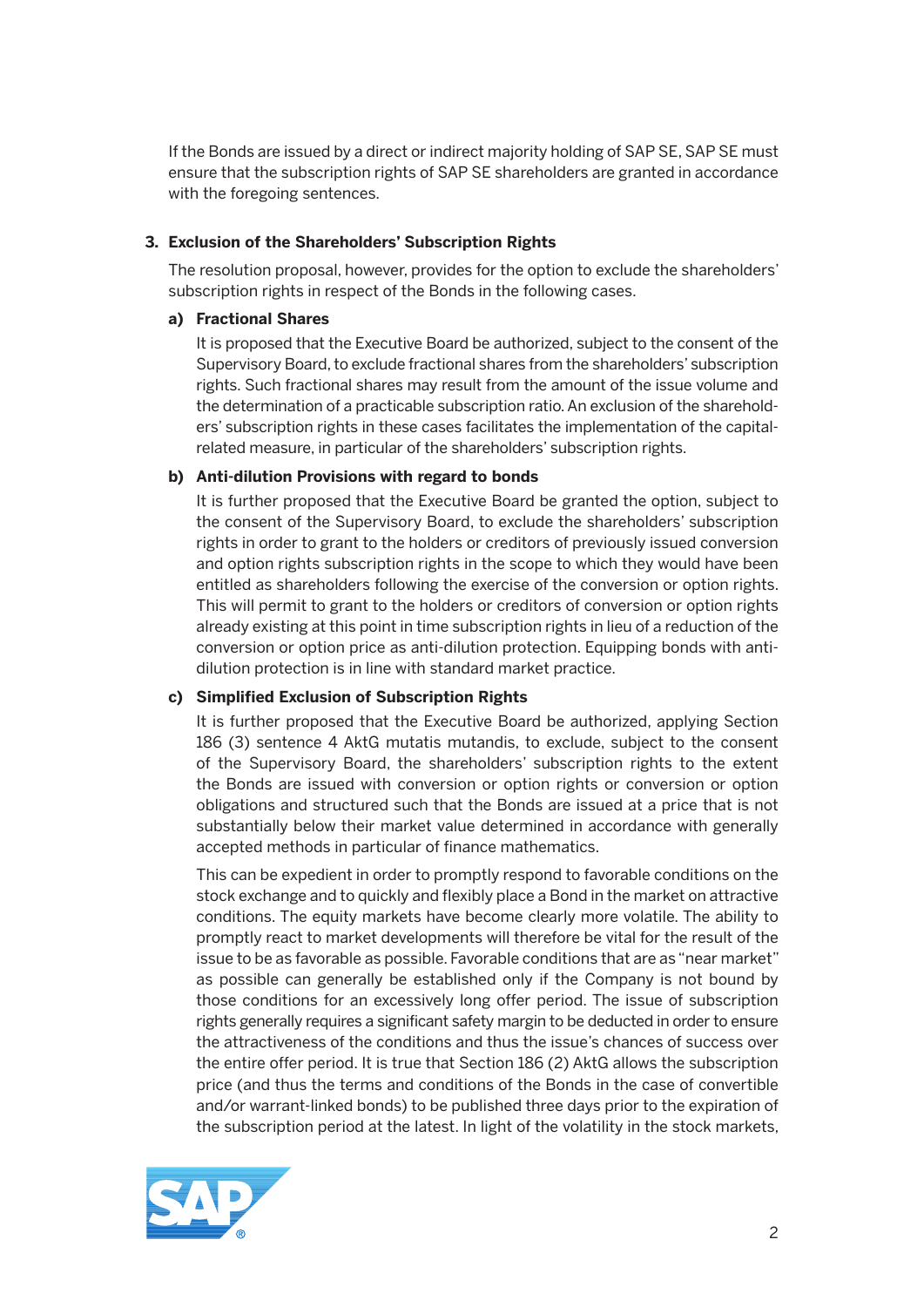If the Bonds are issued by a direct or indirect majority holding of SAP SE, SAP SE must ensure that the subscription rights of SAP SE shareholders are granted in accordance with the foregoing sentences.

#### **3. Exclusion of the Shareholders' Subscription Rights**

 The resolution proposal, however, provides for the option to exclude the shareholders' subscription rights in respect of the Bonds in the following cases.

#### **a) Fractional Shares**

 It is proposed that the Executive Board be authorized, subject to the consent of the Supervisory Board, to exclude fractional shares from the shareholders' subscription rights. Such fractional shares may result from the amount of the issue volume and the determination of a practicable subscription ratio. An exclusion of the shareholders' subscription rights in these cases facilitates the implementation of the capitalrelated measure, in particular of the shareholders' subscription rights.

#### **b) Anti-dilution Provisions with regard to bonds**

 It is further proposed that the Executive Board be granted the option, subject to the consent of the Supervisory Board, to exclude the shareholders' subscription rights in order to grant to the holders or creditors of previously issued conversion and option rights subscription rights in the scope to which they would have been entitled as shareholders following the exercise of the conversion or option rights. This will permit to grant to the holders or creditors of conversion or option rights already existing at this point in time subscription rights in lieu of a reduction of the conversion or option price as anti-dilution protection. Equipping bonds with antidilution protection is in line with standard market practice.

#### **c) Simplified Exclusion of Subscription Rights**

 It is further proposed that the Executive Board be authorized, applying Section 186 (3) sentence 4 AktG mutatis mutandis, to exclude, subject to the consent of the Supervisory Board, the shareholders' subscription rights to the extent the Bonds are issued with conversion or option rights or conversion or option obligations and structured such that the Bonds are issued at a price that is not substantially below their market value determined in accordance with generally accepted methods in particular of finance mathematics.

 This can be expedient in order to promptly respond to favorable conditions on the stock exchange and to quickly and flexibly place a Bond in the market on attractive conditions. The equity markets have become clearly more volatile. The ability to promptly react to market developments will therefore be vital for the result of the issue to be as favorable as possible. Favorable conditions that are as "near market" as possible can generally be established only if the Company is not bound by those conditions for an excessively long offer period. The issue of subscription rights generally requires a significant safety margin to be deducted in order to ensure the attractiveness of the conditions and thus the issue's chances of success over the entire offer period. It is true that Section 186 (2) AktG allows the subscription price (and thus the terms and conditions of the Bonds in the case of convertible and/or warrant-linked bonds) to be published three days prior to the expiration of the subscription period at the latest. In light of the volatility in the stock markets,

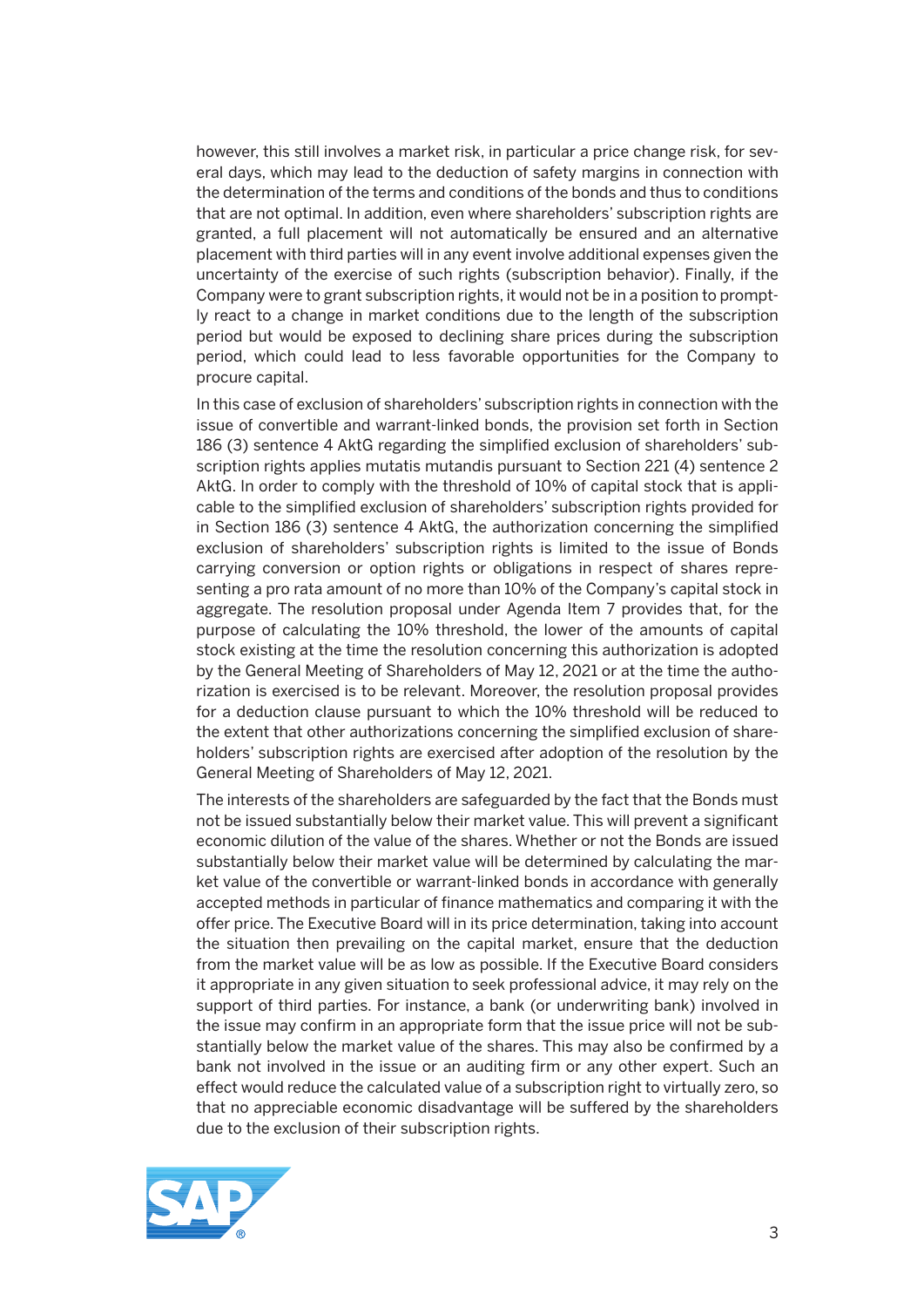however, this still involves a market risk, in particular a price change risk, for several days, which may lead to the deduction of safety margins in connection with the determination of the terms and conditions of the bonds and thus to conditions that are not optimal. In addition, even where shareholders' subscription rights are granted, a full placement will not automatically be ensured and an alternative placement with third parties will in any event involve additional expenses given the uncertainty of the exercise of such rights (subscription behavior). Finally, if the Company were to grant subscription rights, it would not be in a position to promptly react to a change in market conditions due to the length of the subscription period but would be exposed to declining share prices during the subscription period, which could lead to less favorable opportunities for the Company to procure capital.

 In this case of exclusion of shareholders' subscription rights in connection with the issue of convertible and warrant-linked bonds, the provision set forth in Section 186 (3) sentence 4 AktG regarding the simplified exclusion of shareholders' subscription rights applies mutatis mutandis pursuant to Section 221 (4) sentence 2 AktG. In order to comply with the threshold of 10% of capital stock that is applicable to the simplified exclusion of shareholders' subscription rights provided for in Section 186 (3) sentence 4 AktG, the authorization concerning the simplified exclusion of shareholders' subscription rights is limited to the issue of Bonds carrying conversion or option rights or obligations in respect of shares representing a pro rata amount of no more than 10% of the Company's capital stock in aggregate. The resolution proposal under Agenda Item 7 provides that, for the purpose of calculating the 10% threshold, the lower of the amounts of capital stock existing at the time the resolution concerning this authorization is adopted by the General Meeting of Shareholders of May 12, 2021 or at the time the authorization is exercised is to be relevant. Moreover, the resolution proposal provides for a deduction clause pursuant to which the 10% threshold will be reduced to the extent that other authorizations concerning the simplified exclusion of shareholders' subscription rights are exercised after adoption of the resolution by the General Meeting of Shareholders of May 12, 2021.

 The interests of the shareholders are safeguarded by the fact that the Bonds must not be issued substantially below their market value. This will prevent a significant economic dilution of the value of the shares. Whether or not the Bonds are issued substantially below their market value will be determined by calculating the market value of the convertible or warrant-linked bonds in accordance with generally accepted methods in particular of finance mathematics and comparing it with the offer price. The Executive Board will in its price determination, taking into account the situation then prevailing on the capital market, ensure that the deduction from the market value will be as low as possible. If the Executive Board considers it appropriate in any given situation to seek professional advice, it may rely on the support of third parties. For instance, a bank (or underwriting bank) involved in the issue may confirm in an appropriate form that the issue price will not be substantially below the market value of the shares. This may also be confirmed by a bank not involved in the issue or an auditing firm or any other expert. Such an effect would reduce the calculated value of a subscription right to virtually zero, so that no appreciable economic disadvantage will be suffered by the shareholders due to the exclusion of their subscription rights.

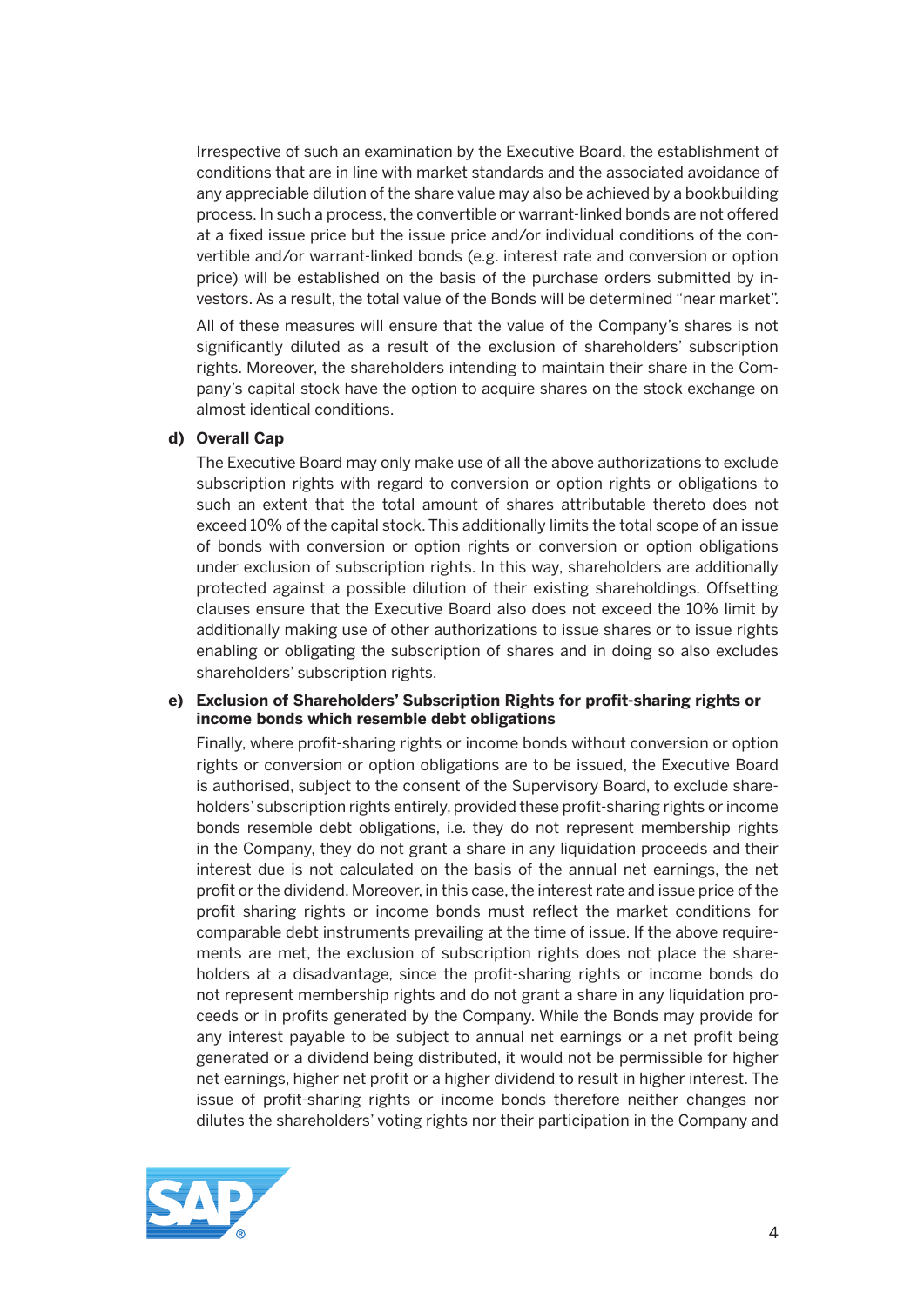Irrespective of such an examination by the Executive Board, the establishment of conditions that are in line with market standards and the associated avoidance of any appreciable dilution of the share value may also be achieved by a bookbuilding process. In such a process, the convertible or warrant-linked bonds are not offered at a fixed issue price but the issue price and/or individual conditions of the convertible and/or warrant-linked bonds (e.g. interest rate and conversion or option price) will be established on the basis of the purchase orders submitted by investors. As a result, the total value of the Bonds will be determined "near market".

 All of these measures will ensure that the value of the Company's shares is not significantly diluted as a result of the exclusion of shareholders' subscription rights. Moreover, the shareholders intending to maintain their share in the Company's capital stock have the option to acquire shares on the stock exchange on almost identical conditions.

#### **d) Overall Cap**

 The Executive Board may only make use of all the above authorizations to exclude subscription rights with regard to conversion or option rights or obligations to such an extent that the total amount of shares attributable thereto does not exceed 10% of the capital stock. This additionally limits the total scope of an issue of bonds with conversion or option rights or conversion or option obligations under exclusion of subscription rights. In this way, shareholders are additionally protected against a possible dilution of their existing shareholdings. Offsetting clauses ensure that the Executive Board also does not exceed the 10% limit by additionally making use of other authorizations to issue shares or to issue rights enabling or obligating the subscription of shares and in doing so also excludes shareholders' subscription rights.

#### **e) Exclusion of Shareholders' Subscription Rights for profit-sharing rights or income bonds which resemble debt obligations**

 Finally, where profit-sharing rights or income bonds without conversion or option rights or conversion or option obligations are to be issued, the Executive Board is authorised, subject to the consent of the Supervisory Board, to exclude shareholders' subscription rights entirely, provided these profit-sharing rights or income bonds resemble debt obligations, i.e. they do not represent membership rights in the Company, they do not grant a share in any liquidation proceeds and their interest due is not calculated on the basis of the annual net earnings, the net profit or the dividend. Moreover, in this case, the interest rate and issue price of the profit sharing rights or income bonds must reflect the market conditions for comparable debt instruments prevailing at the time of issue. If the above requirements are met, the exclusion of subscription rights does not place the shareholders at a disadvantage, since the profit-sharing rights or income bonds do not represent membership rights and do not grant a share in any liquidation proceeds or in profits generated by the Company. While the Bonds may provide for any interest payable to be subject to annual net earnings or a net profit being generated or a dividend being distributed, it would not be permissible for higher net earnings, higher net profit or a higher dividend to result in higher interest. The issue of profit-sharing rights or income bonds therefore neither changes nor dilutes the shareholders' voting rights nor their participation in the Company and

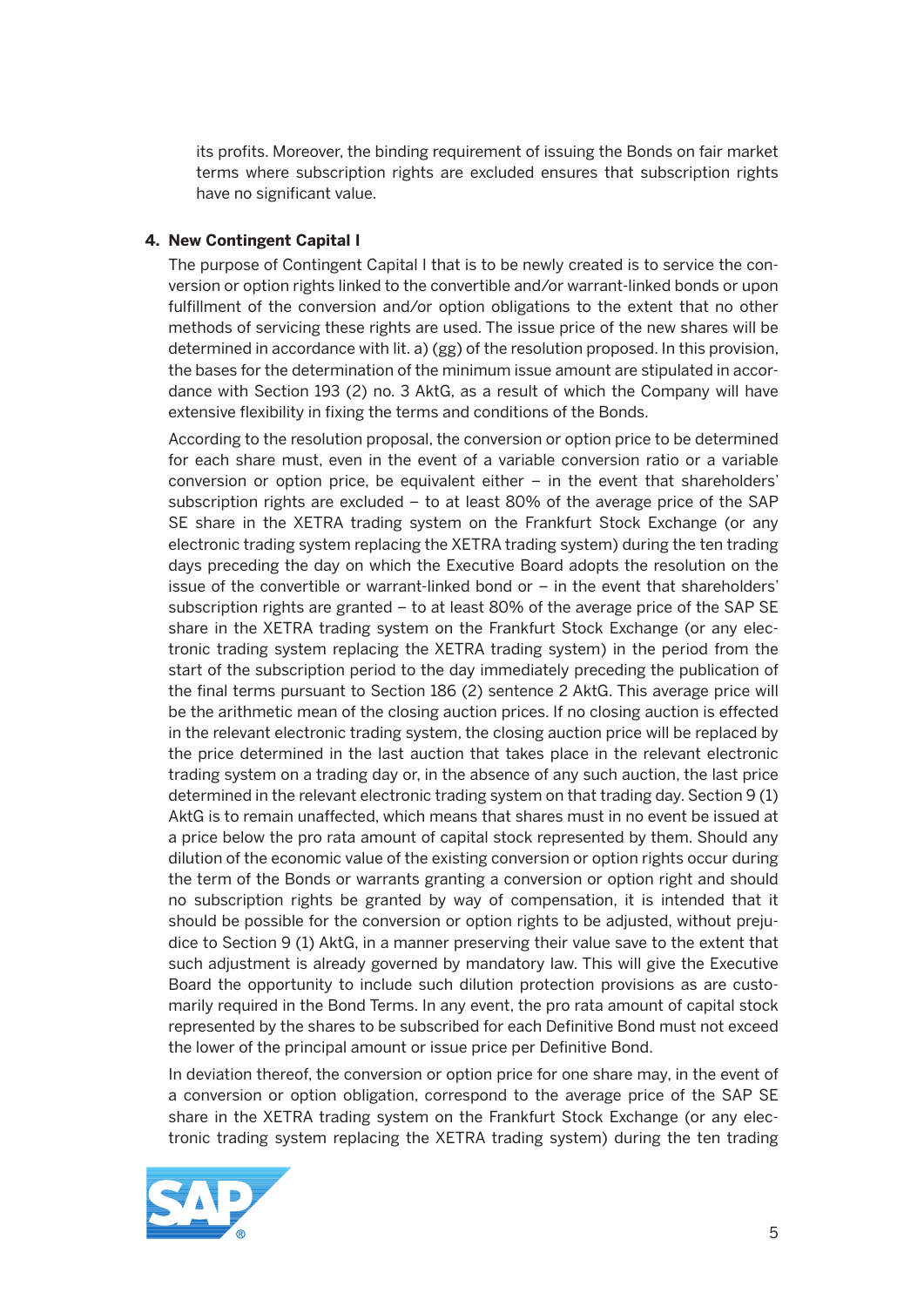its profits. Moreover, the binding requirement of issuing the Bonds on fair market terms where subscription rights are excluded ensures that subscription rights have no significant value.

#### **4. New Contingent Capital I**

 The purpose of Contingent Capital I that is to be newly created is to service the conversion or option rights linked to the convertible and/or warrant-linked bonds or upon fulfillment of the conversion and/or option obligations to the extent that no other methods of servicing these rights are used. The issue price of the new shares will be determined in accordance with lit. a) (gg) of the resolution proposed. In this provision, the bases for the determination of the minimum issue amount are stipulated in accordance with Section 193 (2) no. 3 AktG, as a result of which the Company will have extensive flexibility in fixing the terms and conditions of the Bonds.

 According to the resolution proposal, the conversion or option price to be determined for each share must, even in the event of a variable conversion ratio or a variable conversion or option price, be equivalent either – in the event that shareholders' subscription rights are excluded – to at least 80% of the average price of the SAP SE share in the XETRA trading system on the Frankfurt Stock Exchange (or any electronic trading system replacing the XETRA trading system) during the ten trading days preceding the day on which the Executive Board adopts the resolution on the issue of the convertible or warrant-linked bond or – in the event that shareholders' subscription rights are granted – to at least 80% of the average price of the SAP SE share in the XETRA trading system on the Frankfurt Stock Exchange (or any electronic trading system replacing the XETRA trading system) in the period from the start of the subscription period to the day immediately preceding the publication of the final terms pursuant to Section 186 (2) sentence 2 AktG. This average price will be the arithmetic mean of the closing auction prices. If no closing auction is effected in the relevant electronic trading system, the closing auction price will be replaced by the price determined in the last auction that takes place in the relevant electronic trading system on a trading day or, in the absence of any such auction, the last price determined in the relevant electronic trading system on that trading day. Section 9 (1) AktG is to remain unaffected, which means that shares must in no event be issued at a price below the pro rata amount of capital stock represented by them. Should any dilution of the economic value of the existing conversion or option rights occur during the term of the Bonds or warrants granting a conversion or option right and should no subscription rights be granted by way of compensation, it is intended that it should be possible for the conversion or option rights to be adjusted, without prejudice to Section 9 (1) AktG, in a manner preserving their value save to the extent that such adjustment is already governed by mandatory law. This will give the Executive Board the opportunity to include such dilution protection provisions as are customarily required in the Bond Terms. In any event, the pro rata amount of capital stock represented by the shares to be subscribed for each Definitive Bond must not exceed the lower of the principal amount or issue price per Definitive Bond.

 In deviation thereof, the conversion or option price for one share may, in the event of a conversion or option obligation, correspond to the average price of the SAP SE share in the XETRA trading system on the Frankfurt Stock Exchange (or any electronic trading system replacing the XETRA trading system) during the ten trading